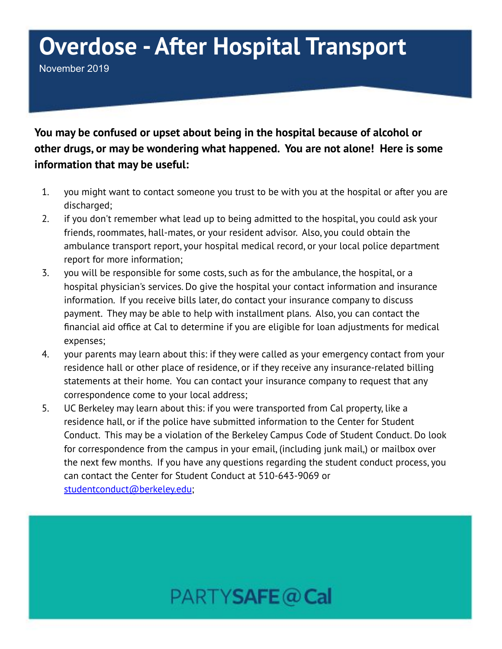## **Overdose - After Hospital Transport**

November 2019

**You may be confused or upset about being in the hospital because of alcohol or other drugs, or may be wondering what happened. You are not alone! Here is some information that may be useful:**

- 1. you might want to contact someone you trust to be with you at the hospital or after you are discharged;
- 2. if you don't remember what lead up to being admitted to the hospital, you could ask your friends, roommates, hall-mates, or your resident advisor. Also, you could obtain the ambulance transport report, your hospital medical record, or your local police department report for more information;
- 3. you will be responsible for some costs, such as for the ambulance, the hospital, or a hospital physician's services. Do give the hospital your contact information and insurance information. If you receive bills later, do contact your insurance company to discuss payment. They may be able to help with installment plans. Also, you can contact the financial aid office at Cal to determine if you are eligible for loan adjustments for medical expenses;
- 4. your parents may learn about this: if they were called as your emergency contact from your residence hall or other place of residence, or if they receive any insurance-related billing statements at their home. You can contact your insurance company to request that any correspondence come to your local address;
- 5. UC Berkeley may learn about this: if you were transported from Cal property, like a residence hall, or if the police have submitted information to the Center for Student Conduct. This may be a violation of the Berkeley Campus Code of Student Conduct. Do look for correspondence from the campus in your email, (including junk mail,) or mailbox over the next few months. If you have any questions regarding the student conduct process, you can contact the Center for Student Conduct at 510-643-9069 or [studentconduct@berkeley.edu](mailto:studentconduct@berkeley.edu);

## PARTYSAFE@Cal